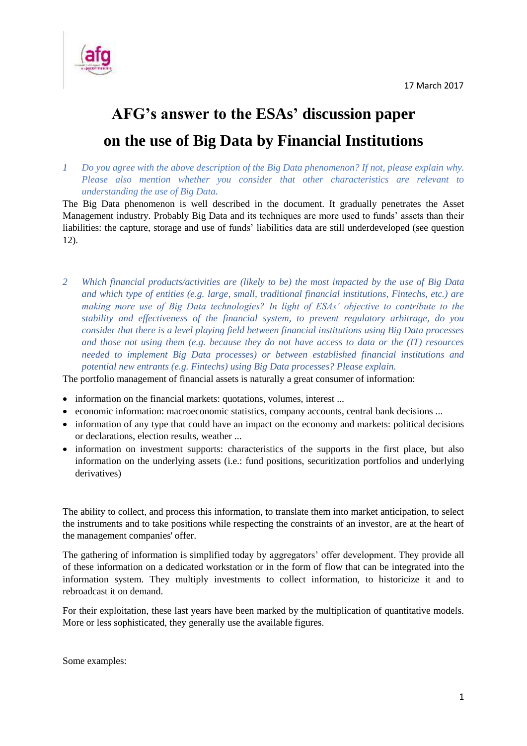

# **AFG's answer to the ESAs' discussion paper on the use of Big Data by Financial Institutions**

*1 Do you agree with the above description of the Big Data phenomenon? If not, please explain why. Please also mention whether you consider that other characteristics are relevant to understanding the use of Big Data.*

The Big Data phenomenon is well described in the document. It gradually penetrates the Asset Management industry. Probably Big Data and its techniques are more used to funds' assets than their liabilities: the capture, storage and use of funds' liabilities data are still underdeveloped (see question 12).

*2 Which financial products/activities are (likely to be) the most impacted by the use of Big Data and which type of entities (e.g. large, small, traditional financial institutions, Fintechs, etc.) are making more use of Big Data technologies? In light of ESAs' objective to contribute to the stability and effectiveness of the financial system, to prevent regulatory arbitrage, do you consider that there is a level playing field between financial institutions using Big Data processes and those not using them (e.g. because they do not have access to data or the (IT) resources needed to implement Big Data processes) or between established financial institutions and potential new entrants (e.g. Fintechs) using Big Data processes? Please explain.* 

The portfolio management of financial assets is naturally a great consumer of information:

- information on the financial markets: quotations, volumes, interest ...
- economic information: macroeconomic statistics, company accounts, central bank decisions ...
- information of any type that could have an impact on the economy and markets: political decisions or declarations, election results, weather ...
- information on investment supports: characteristics of the supports in the first place, but also information on the underlying assets (i.e.: fund positions, securitization portfolios and underlying derivatives)

The ability to collect, and process this information, to translate them into market anticipation, to select the instruments and to take positions while respecting the constraints of an investor, are at the heart of the management companies' offer.

The gathering of information is simplified today by aggregators' offer development. They provide all of these information on a dedicated workstation or in the form of flow that can be integrated into the information system. They multiply investments to collect information, to historicize it and to rebroadcast it on demand.

For their exploitation, these last years have been marked by the multiplication of quantitative models. More or less sophisticated, they generally use the available figures.

Some examples: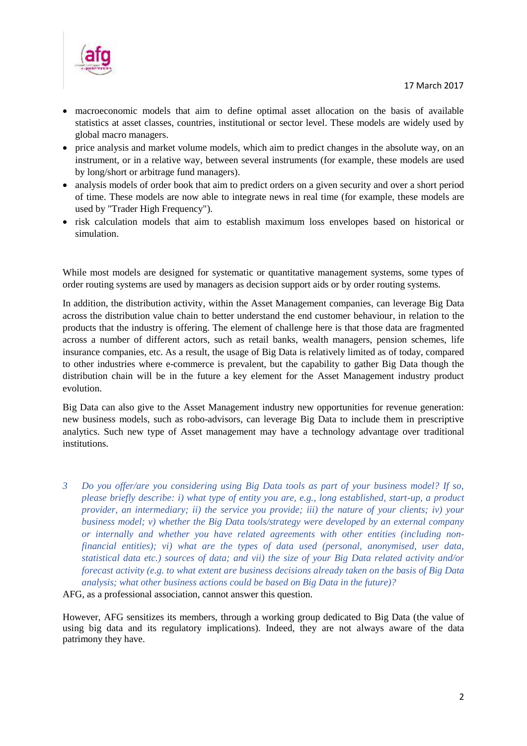

- macroeconomic models that aim to define optimal asset allocation on the basis of available statistics at asset classes, countries, institutional or sector level. These models are widely used by global macro managers.
- price analysis and market volume models, which aim to predict changes in the absolute way, on an instrument, or in a relative way, between several instruments (for example, these models are used by long/short or arbitrage fund managers).
- analysis models of order book that aim to predict orders on a given security and over a short period of time. These models are now able to integrate news in real time (for example, these models are used by "Trader High Frequency").
- risk calculation models that aim to establish maximum loss envelopes based on historical or simulation.

While most models are designed for systematic or quantitative management systems, some types of order routing systems are used by managers as decision support aids or by order routing systems.

In addition, the distribution activity, within the Asset Management companies, can leverage Big Data across the distribution value chain to better understand the end customer behaviour, in relation to the products that the industry is offering. The element of challenge here is that those data are fragmented across a number of different actors, such as retail banks, wealth managers, pension schemes, life insurance companies, etc. As a result, the usage of Big Data is relatively limited as of today, compared to other industries where e-commerce is prevalent, but the capability to gather Big Data though the distribution chain will be in the future a key element for the Asset Management industry product evolution.

Big Data can also give to the Asset Management industry new opportunities for revenue generation: new business models, such as robo-advisors, can leverage Big Data to include them in prescriptive analytics. Such new type of Asset management may have a technology advantage over traditional institutions.

*3 Do you offer/are you considering using Big Data tools as part of your business model? If so, please briefly describe: i) what type of entity you are, e.g., long established, start-up, a product provider, an intermediary; ii) the service you provide; iii) the nature of your clients; iv) your business model; v) whether the Big Data tools/strategy were developed by an external company or internally and whether you have related agreements with other entities (including nonfinancial entities); vi) what are the types of data used (personal, anonymised, user data, statistical data etc.) sources of data; and vii) the size of your Big Data related activity and/or forecast activity (e.g. to what extent are business decisions already taken on the basis of Big Data analysis; what other business actions could be based on Big Data in the future)?* 

AFG, as a professional association, cannot answer this question.

However, AFG sensitizes its members, through a working group dedicated to Big Data (the value of using big data and its regulatory implications). Indeed, they are not always aware of the data patrimony they have.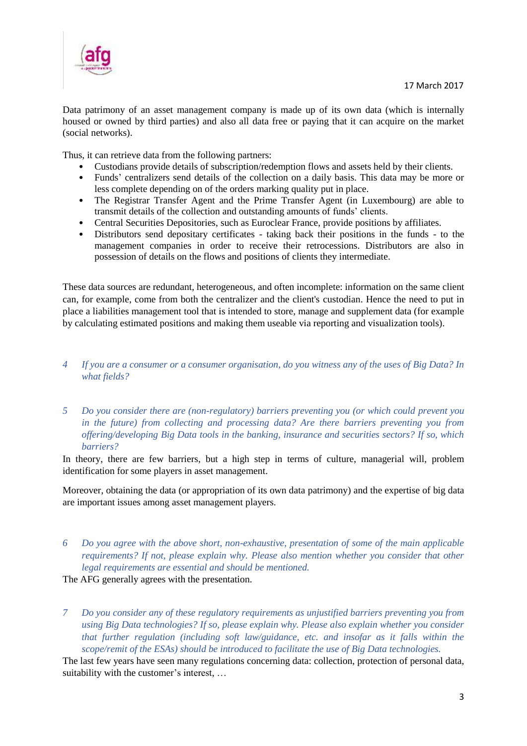

Data patrimony of an asset management company is made up of its own data (which is internally housed or owned by third parties) and also all data free or paying that it can acquire on the market (social networks).

Thus, it can retrieve data from the following partners:

- Custodians provide details of subscription/redemption flows and assets held by their clients.
- Funds' centralizers send details of the collection on a daily basis. This data may be more or less complete depending on of the orders marking quality put in place.
- The Registrar Transfer Agent and the Prime Transfer Agent (in Luxembourg) are able to transmit details of the collection and outstanding amounts of funds' clients.
- Central Securities Depositories, such as Euroclear France, provide positions by affiliates.
- Distributors send depositary certificates taking back their positions in the funds to the management companies in order to receive their retrocessions. Distributors are also in possession of details on the flows and positions of clients they intermediate.

These data sources are redundant, heterogeneous, and often incomplete: information on the same client can, for example, come from both the centralizer and the client's custodian. Hence the need to put in place a liabilities management tool that is intended to store, manage and supplement data (for example by calculating estimated positions and making them useable via reporting and visualization tools).

- *4 If you are a consumer or a consumer organisation, do you witness any of the uses of Big Data? In what fields?*
- *5 Do you consider there are (non-regulatory) barriers preventing you (or which could prevent you in the future) from collecting and processing data? Are there barriers preventing you from offering/developing Big Data tools in the banking, insurance and securities sectors? If so, which barriers?*

In theory, there are few barriers, but a high step in terms of culture, managerial will, problem identification for some players in asset management.

Moreover, obtaining the data (or appropriation of its own data patrimony) and the expertise of big data are important issues among asset management players.

*6 Do you agree with the above short, non-exhaustive, presentation of some of the main applicable requirements? If not, please explain why. Please also mention whether you consider that other legal requirements are essential and should be mentioned.*

The AFG generally agrees with the presentation.

*7 Do you consider any of these regulatory requirements as unjustified barriers preventing you from using Big Data technologies? If so, please explain why. Please also explain whether you consider that further regulation (including soft law/guidance, etc. and insofar as it falls within the scope/remit of the ESAs) should be introduced to facilitate the use of Big Data technologies.* 

The last few years have seen many regulations concerning data: collection, protection of personal data, suitability with the customer's interest, …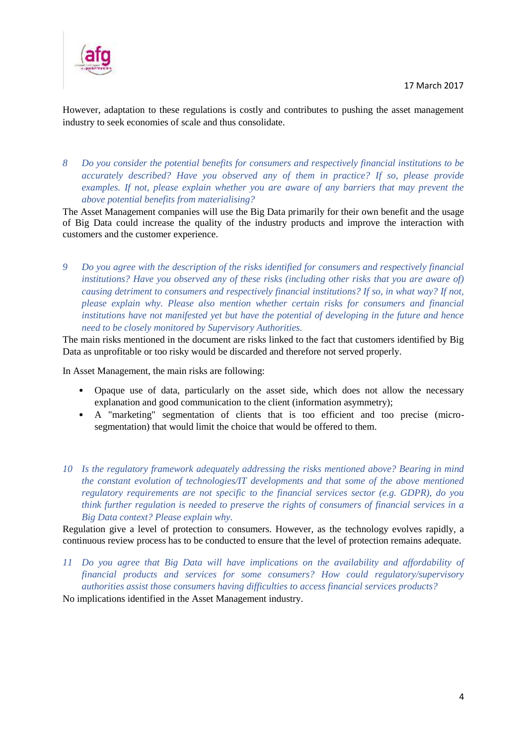

However, adaptation to these regulations is costly and contributes to pushing the asset management industry to seek economies of scale and thus consolidate.

*8 Do you consider the potential benefits for consumers and respectively financial institutions to be accurately described? Have you observed any of them in practice? If so, please provide examples. If not, please explain whether you are aware of any barriers that may prevent the above potential benefits from materialising?* 

The Asset Management companies will use the Big Data primarily for their own benefit and the usage of Big Data could increase the quality of the industry products and improve the interaction with customers and the customer experience.

*9 Do you agree with the description of the risks identified for consumers and respectively financial institutions? Have you observed any of these risks (including other risks that you are aware of) causing detriment to consumers and respectively financial institutions? If so, in what way? If not, please explain why. Please also mention whether certain risks for consumers and financial institutions have not manifested yet but have the potential of developing in the future and hence need to be closely monitored by Supervisory Authorities.* 

The main risks mentioned in the document are risks linked to the fact that customers identified by Big Data as unprofitable or too risky would be discarded and therefore not served properly.

In Asset Management, the main risks are following:

- Opaque use of data, particularly on the asset side, which does not allow the necessary explanation and good communication to the client (information asymmetry);
- A "marketing" segmentation of clients that is too efficient and too precise (microsegmentation) that would limit the choice that would be offered to them.
- *10 Is the regulatory framework adequately addressing the risks mentioned above? Bearing in mind the constant evolution of technologies/IT developments and that some of the above mentioned regulatory requirements are not specific to the financial services sector (e.g. GDPR), do you think further regulation is needed to preserve the rights of consumers of financial services in a Big Data context? Please explain why.*

Regulation give a level of protection to consumers. However, as the technology evolves rapidly, a continuous review process has to be conducted to ensure that the level of protection remains adequate.

*11 Do you agree that Big Data will have implications on the availability and affordability of financial products and services for some consumers? How could regulatory/supervisory authorities assist those consumers having difficulties to access financial services products?* 

No implications identified in the Asset Management industry.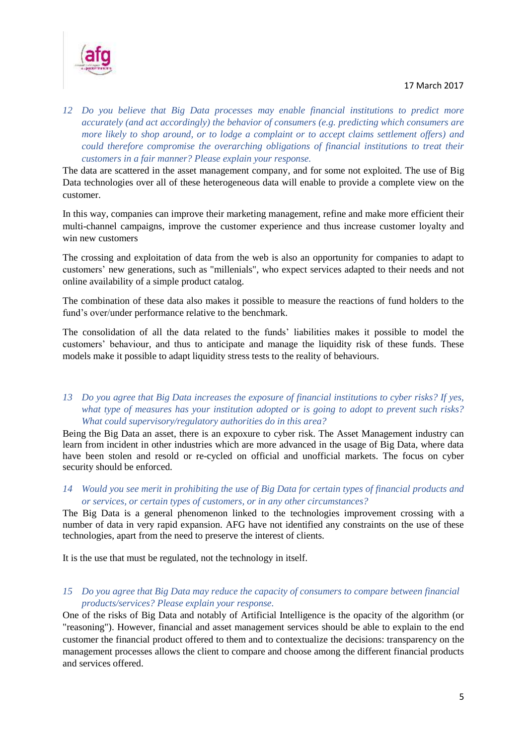#### 17 March 2017



*12 Do you believe that Big Data processes may enable financial institutions to predict more accurately (and act accordingly) the behavior of consumers (e.g. predicting which consumers are more likely to shop around, or to lodge a complaint or to accept claims settlement offers) and could therefore compromise the overarching obligations of financial institutions to treat their customers in a fair manner? Please explain your response.* 

The data are scattered in the asset management company, and for some not exploited. The use of Big Data technologies over all of these heterogeneous data will enable to provide a complete view on the customer.

In this way, companies can improve their marketing management, refine and make more efficient their multi-channel campaigns, improve the customer experience and thus increase customer loyalty and win new customers

The crossing and exploitation of data from the web is also an opportunity for companies to adapt to customers' new generations, such as "millenials", who expect services adapted to their needs and not online availability of a simple product catalog.

The combination of these data also makes it possible to measure the reactions of fund holders to the fund's over/under performance relative to the benchmark.

The consolidation of all the data related to the funds' liabilities makes it possible to model the customers' behaviour, and thus to anticipate and manage the liquidity risk of these funds. These models make it possible to adapt liquidity stress tests to the reality of behaviours.

*13 Do you agree that Big Data increases the exposure of financial institutions to cyber risks? If yes, what type of measures has your institution adopted or is going to adopt to prevent such risks? What could supervisory/regulatory authorities do in this area?* 

Being the Big Data an asset, there is an expoxure to cyber risk. The Asset Management industry can learn from incident in other industries which are more advanced in the usage of Big Data, where data have been stolen and resold or re-cycled on official and unofficial markets. The focus on cyber security should be enforced.

*14 Would you see merit in prohibiting the use of Big Data for certain types of financial products and or services, or certain types of customers, or in any other circumstances?* 

The Big Data is a general phenomenon linked to the technologies improvement crossing with a number of data in very rapid expansion. AFG have not identified any constraints on the use of these technologies, apart from the need to preserve the interest of clients.

It is the use that must be regulated, not the technology in itself.

*15 Do you agree that Big Data may reduce the capacity of consumers to compare between financial products/services? Please explain your response.* 

One of the risks of Big Data and notably of Artificial Intelligence is the opacity of the algorithm (or "reasoning"). However, financial and asset management services should be able to explain to the end customer the financial product offered to them and to contextualize the decisions: transparency on the management processes allows the client to compare and choose among the different financial products and services offered.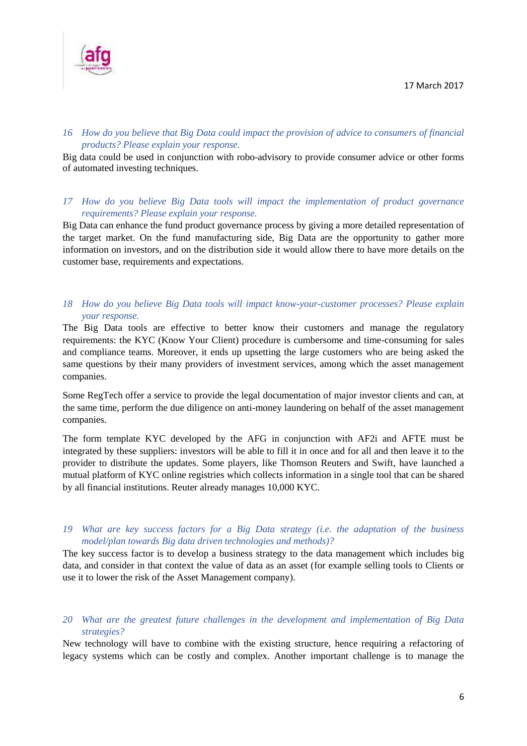

## *16 How do you believe that Big Data could impact the provision of advice to consumers of financial products? Please explain your response.*

Big data could be used in conjunction with robo-advisory to provide consumer advice or other forms of automated investing techniques.

### *17 How do you believe Big Data tools will impact the implementation of product governance requirements? Please explain your response.*

Big Data can enhance the fund product governance process by giving a more detailed representation of the target market. On the fund manufacturing side, Big Data are the opportunity to gather more information on investors, and on the distribution side it would allow there to have more details on the customer base, requirements and expectations.

## *18 How do you believe Big Data tools will impact know-your-customer processes? Please explain your response.*

The Big Data tools are effective to better know their customers and manage the regulatory requirements: the KYC (Know Your Client) procedure is cumbersome and time-consuming for sales and compliance teams. Moreover, it ends up upsetting the large customers who are being asked the same questions by their many providers of investment services, among which the asset management companies.

Some RegTech offer a service to provide the legal documentation of major investor clients and can, at the same time, perform the due diligence on anti-money laundering on behalf of the asset management companies.

The form template KYC developed by the AFG in conjunction with AF2i and AFTE must be integrated by these suppliers: investors will be able to fill it in once and for all and then leave it to the provider to distribute the updates. Some players, like Thomson Reuters and Swift, have launched a mutual platform of KYC online registries which collects information in a single tool that can be shared by all financial institutions. Reuter already manages 10,000 KYC.

### *19 What are key success factors for a Big Data strategy (i.e. the adaptation of the business model/plan towards Big data driven technologies and methods)?*

The key success factor is to develop a business strategy to the data management which includes big data, and consider in that context the value of data as an asset (for example selling tools to Clients or use it to lower the risk of the Asset Management company).

## *20 What are the greatest future challenges in the development and implementation of Big Data strategies?*

New technology will have to combine with the existing structure, hence requiring a refactoring of legacy systems which can be costly and complex. Another important challenge is to manage the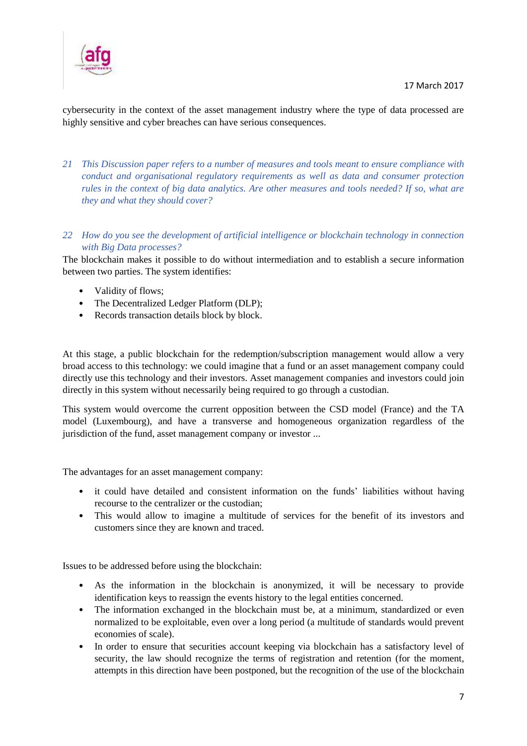

cybersecurity in the context of the asset management industry where the type of data processed are highly sensitive and cyber breaches can have serious consequences.

- *21 This Discussion paper refers to a number of measures and tools meant to ensure compliance with conduct and organisational regulatory requirements as well as data and consumer protection rules in the context of big data analytics. Are other measures and tools needed? If so, what are they and what they should cover?*
- *22 How do you see the development of artificial intelligence or blockchain technology in connection with Big Data processes?*

The blockchain makes it possible to do without intermediation and to establish a secure information between two parties. The system identifies:

- Validity of flows;
- The Decentralized Ledger Platform (DLP);
- Records transaction details block by block.

At this stage, a public blockchain for the redemption/subscription management would allow a very broad access to this technology: we could imagine that a fund or an asset management company could directly use this technology and their investors. Asset management companies and investors could join directly in this system without necessarily being required to go through a custodian.

This system would overcome the current opposition between the CSD model (France) and the TA model (Luxembourg), and have a transverse and homogeneous organization regardless of the jurisdiction of the fund, asset management company or investor ...

The advantages for an asset management company:

- it could have detailed and consistent information on the funds' liabilities without having recourse to the centralizer or the custodian;
- This would allow to imagine a multitude of services for the benefit of its investors and customers since they are known and traced.

Issues to be addressed before using the blockchain:

- As the information in the blockchain is anonymized, it will be necessary to provide identification keys to reassign the events history to the legal entities concerned.
- The information exchanged in the blockchain must be, at a minimum, standardized or even normalized to be exploitable, even over a long period (a multitude of standards would prevent economies of scale).
- In order to ensure that securities account keeping via blockchain has a satisfactory level of security, the law should recognize the terms of registration and retention (for the moment, attempts in this direction have been postponed, but the recognition of the use of the blockchain